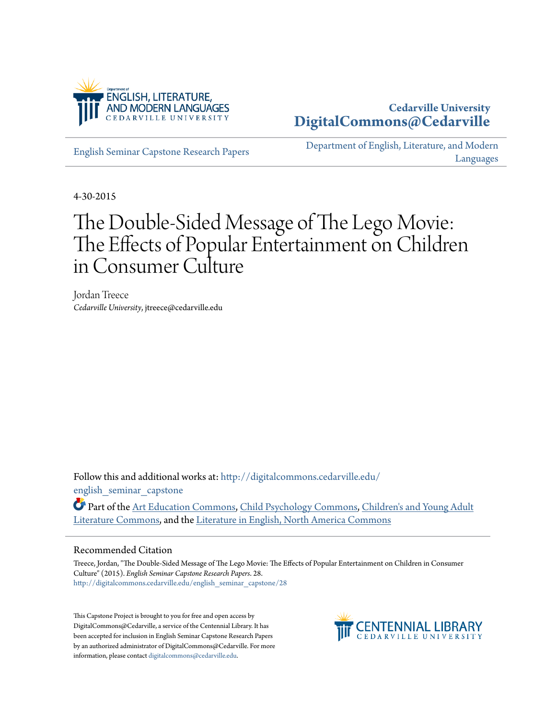

# **Cedarville University [DigitalCommons@Cedarville](http://digitalcommons.cedarville.edu?utm_source=digitalcommons.cedarville.edu%2Fenglish_seminar_capstone%2F28&utm_medium=PDF&utm_campaign=PDFCoverPages)**

[English Seminar Capstone Research Papers](http://digitalcommons.cedarville.edu/english_seminar_capstone?utm_source=digitalcommons.cedarville.edu%2Fenglish_seminar_capstone%2F28&utm_medium=PDF&utm_campaign=PDFCoverPages)

[Department of English, Literature, and Modern](http://digitalcommons.cedarville.edu/english_literature_modern_languages?utm_source=digitalcommons.cedarville.edu%2Fenglish_seminar_capstone%2F28&utm_medium=PDF&utm_campaign=PDFCoverPages) [Languages](http://digitalcommons.cedarville.edu/english_literature_modern_languages?utm_source=digitalcommons.cedarville.edu%2Fenglish_seminar_capstone%2F28&utm_medium=PDF&utm_campaign=PDFCoverPages)

4-30-2015

# The Double-Sided Message of The Lego Movie: The Effects of Popular Entertainment on Children in Consumer Culture

Jordan Treece *Cedarville University*, jtreece@cedarville.edu

Follow this and additional works at: [http://digitalcommons.cedarville.edu/](http://digitalcommons.cedarville.edu/english_seminar_capstone?utm_source=digitalcommons.cedarville.edu%2Fenglish_seminar_capstone%2F28&utm_medium=PDF&utm_campaign=PDFCoverPages) english seminar capstone

Part of the [Art Education Commons,](http://network.bepress.com/hgg/discipline/1149?utm_source=digitalcommons.cedarville.edu%2Fenglish_seminar_capstone%2F28&utm_medium=PDF&utm_campaign=PDFCoverPages) [Child Psychology Commons,](http://network.bepress.com/hgg/discipline/1023?utm_source=digitalcommons.cedarville.edu%2Fenglish_seminar_capstone%2F28&utm_medium=PDF&utm_campaign=PDFCoverPages) [Children's and Young Adult](http://network.bepress.com/hgg/discipline/1289?utm_source=digitalcommons.cedarville.edu%2Fenglish_seminar_capstone%2F28&utm_medium=PDF&utm_campaign=PDFCoverPages) [Literature Commons,](http://network.bepress.com/hgg/discipline/1289?utm_source=digitalcommons.cedarville.edu%2Fenglish_seminar_capstone%2F28&utm_medium=PDF&utm_campaign=PDFCoverPages) and the [Literature in English, North America Commons](http://network.bepress.com/hgg/discipline/458?utm_source=digitalcommons.cedarville.edu%2Fenglish_seminar_capstone%2F28&utm_medium=PDF&utm_campaign=PDFCoverPages)

## Recommended Citation

Treece, Jordan, "The Double-Sided Message of The Lego Movie: The Effects of Popular Entertainment on Children in Consumer Culture" (2015). *English Seminar Capstone Research Papers*. 28. [http://digitalcommons.cedarville.edu/english\\_seminar\\_capstone/28](http://digitalcommons.cedarville.edu/english_seminar_capstone/28?utm_source=digitalcommons.cedarville.edu%2Fenglish_seminar_capstone%2F28&utm_medium=PDF&utm_campaign=PDFCoverPages)

This Capstone Project is brought to you for free and open access by DigitalCommons@Cedarville, a service of the Centennial Library. It has been accepted for inclusion in English Seminar Capstone Research Papers by an authorized administrator of DigitalCommons@Cedarville. For more information, please contact [digitalcommons@cedarville.edu.](mailto:digitalcommons@cedarville.edu)

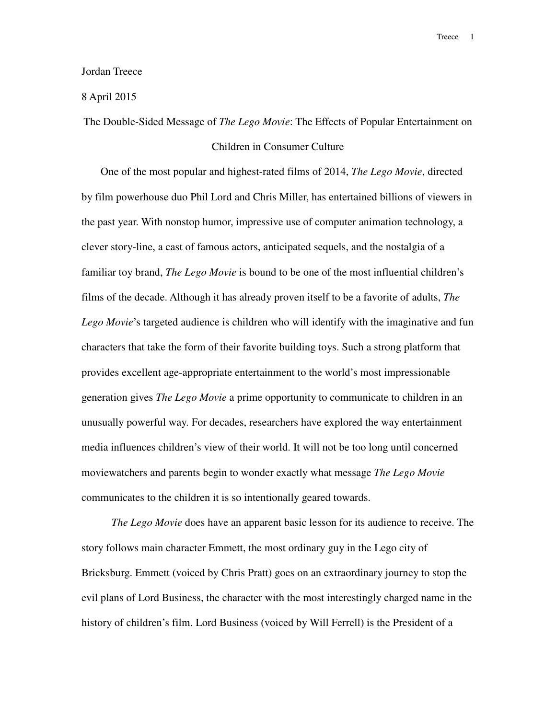#### Jordan Treece

## 8 April 2015

The Double-Sided Message of *The Lego Movie*: The Effects of Popular Entertainment on

# Children in Consumer Culture

One of the most popular and highest-rated films of 2014, *The Lego Movie*, directed by film powerhouse duo Phil Lord and Chris Miller, has entertained billions of viewers in the past year. With nonstop humor, impressive use of computer animation technology, a clever story-line, a cast of famous actors, anticipated sequels, and the nostalgia of a familiar toy brand, *The Lego Movie* is bound to be one of the most influential children's films of the decade. Although it has already proven itself to be a favorite of adults, *The Lego Movie*'s targeted audience is children who will identify with the imaginative and fun characters that take the form of their favorite building toys. Such a strong platform that provides excellent age-appropriate entertainment to the world's most impressionable generation gives *The Lego Movie* a prime opportunity to communicate to children in an unusually powerful way. For decades, researchers have explored the way entertainment media influences children's view of their world. It will not be too long until concerned moviewatchers and parents begin to wonder exactly what message *The Lego Movie* communicates to the children it is so intentionally geared towards.

 *The Lego Movie* does have an apparent basic lesson for its audience to receive. The story follows main character Emmett, the most ordinary guy in the Lego city of Bricksburg. Emmett (voiced by Chris Pratt) goes on an extraordinary journey to stop the evil plans of Lord Business, the character with the most interestingly charged name in the history of children's film. Lord Business (voiced by Will Ferrell) is the President of a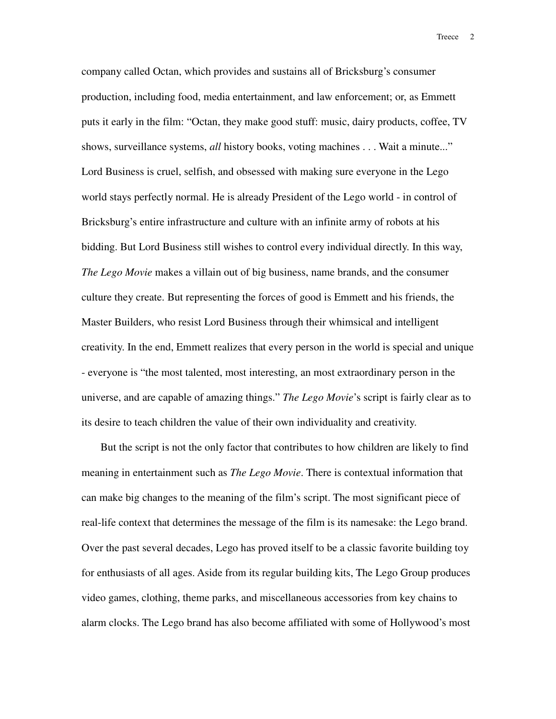company called Octan, which provides and sustains all of Bricksburg's consumer production, including food, media entertainment, and law enforcement; or, as Emmett puts it early in the film: "Octan, they make good stuff: music, dairy products, coffee, TV shows, surveillance systems, *all* history books, voting machines . . . Wait a minute..." Lord Business is cruel, selfish, and obsessed with making sure everyone in the Lego world stays perfectly normal. He is already President of the Lego world - in control of Bricksburg's entire infrastructure and culture with an infinite army of robots at his bidding. But Lord Business still wishes to control every individual directly. In this way, *The Lego Movie* makes a villain out of big business, name brands, and the consumer culture they create. But representing the forces of good is Emmett and his friends, the Master Builders, who resist Lord Business through their whimsical and intelligent creativity. In the end, Emmett realizes that every person in the world is special and unique - everyone is "the most talented, most interesting, an most extraordinary person in the universe, and are capable of amazing things." *The Lego Movie*'s script is fairly clear as to its desire to teach children the value of their own individuality and creativity.

But the script is not the only factor that contributes to how children are likely to find meaning in entertainment such as *The Lego Movie*. There is contextual information that can make big changes to the meaning of the film's script. The most significant piece of real-life context that determines the message of the film is its namesake: the Lego brand. Over the past several decades, Lego has proved itself to be a classic favorite building toy for enthusiasts of all ages. Aside from its regular building kits, The Lego Group produces video games, clothing, theme parks, and miscellaneous accessories from key chains to alarm clocks. The Lego brand has also become affiliated with some of Hollywood's most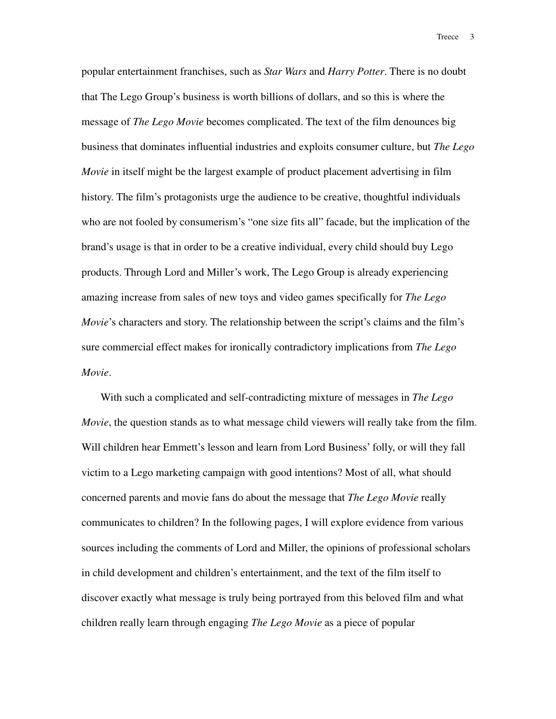popular entertainment franchises, such as *Star Wars* and *Harry Potter*. There is no doubt that The Lego Group's business is worth billions of dollars, and so this is where the message of *The Lego Movie* becomes complicated. The text of the film denounces big business that dominates influential industries and exploits consumer culture, but *The Lego Movie* in itself might be the largest example of product placement advertising in film history. The film's protagonists urge the audience to be creative, thoughtful individuals who are not fooled by consumerism's "one size fits all" facade, but the implication of the brand's usage is that in order to be a creative individual, every child should buy Lego products. Through Lord and Miller's work, The Lego Group is already experiencing amazing increase from sales of new toys and video games specifically for *The Lego Movie*'s characters and story. The relationship between the script's claims and the film's sure commercial effect makes for ironically contradictory implications from *The Lego Movie*.

With such a complicated and self-contradicting mixture of messages in *The Lego Movie*, the question stands as to what message child viewers will really take from the film. Will children hear Emmett's lesson and learn from Lord Business' folly, or will they fall victim to a Lego marketing campaign with good intentions? Most of all, what should concerned parents and movie fans do about the message that *The Lego Movie* really communicates to children? In the following pages, I will explore evidence from various sources including the comments of Lord and Miller, the opinions of professional scholars in child development and children's entertainment, and the text of the film itself to discover exactly what message is truly being portrayed from this beloved film and what children really learn through engaging *The Lego Movie* as a piece of popular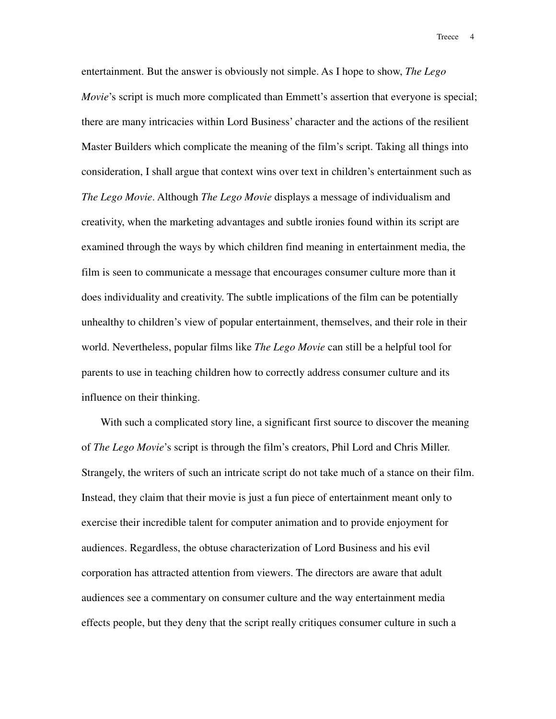entertainment. But the answer is obviously not simple. As I hope to show, *The Lego Movie*'s script is much more complicated than Emmett's assertion that everyone is special; there are many intricacies within Lord Business' character and the actions of the resilient Master Builders which complicate the meaning of the film's script. Taking all things into consideration, I shall argue that context wins over text in children's entertainment such as *The Lego Movie*. Although *The Lego Movie* displays a message of individualism and creativity, when the marketing advantages and subtle ironies found within its script are examined through the ways by which children find meaning in entertainment media, the film is seen to communicate a message that encourages consumer culture more than it does individuality and creativity. The subtle implications of the film can be potentially unhealthy to children's view of popular entertainment, themselves, and their role in their world. Nevertheless, popular films like *The Lego Movie* can still be a helpful tool for parents to use in teaching children how to correctly address consumer culture and its influence on their thinking.

With such a complicated story line, a significant first source to discover the meaning of *The Lego Movie*'s script is through the film's creators, Phil Lord and Chris Miller. Strangely, the writers of such an intricate script do not take much of a stance on their film. Instead, they claim that their movie is just a fun piece of entertainment meant only to exercise their incredible talent for computer animation and to provide enjoyment for audiences. Regardless, the obtuse characterization of Lord Business and his evil corporation has attracted attention from viewers. The directors are aware that adult audiences see a commentary on consumer culture and the way entertainment media effects people, but they deny that the script really critiques consumer culture in such a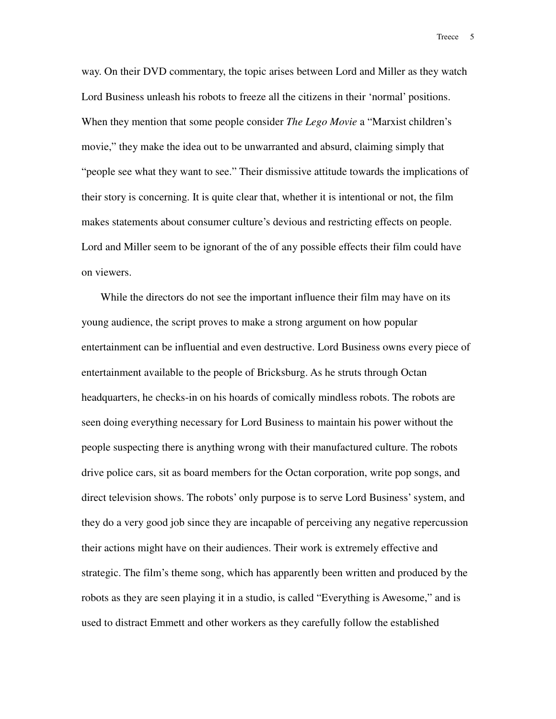way. On their DVD commentary, the topic arises between Lord and Miller as they watch Lord Business unleash his robots to freeze all the citizens in their 'normal' positions. When they mention that some people consider *The Lego Movie* a "Marxist children's movie," they make the idea out to be unwarranted and absurd, claiming simply that "people see what they want to see." Their dismissive attitude towards the implications of their story is concerning. It is quite clear that, whether it is intentional or not, the film makes statements about consumer culture's devious and restricting effects on people. Lord and Miller seem to be ignorant of the of any possible effects their film could have on viewers.

While the directors do not see the important influence their film may have on its young audience, the script proves to make a strong argument on how popular entertainment can be influential and even destructive. Lord Business owns every piece of entertainment available to the people of Bricksburg. As he struts through Octan headquarters, he checks-in on his hoards of comically mindless robots. The robots are seen doing everything necessary for Lord Business to maintain his power without the people suspecting there is anything wrong with their manufactured culture. The robots drive police cars, sit as board members for the Octan corporation, write pop songs, and direct television shows. The robots' only purpose is to serve Lord Business' system, and they do a very good job since they are incapable of perceiving any negative repercussion their actions might have on their audiences. Their work is extremely effective and strategic. The film's theme song, which has apparently been written and produced by the robots as they are seen playing it in a studio, is called "Everything is Awesome," and is used to distract Emmett and other workers as they carefully follow the established

Treece 5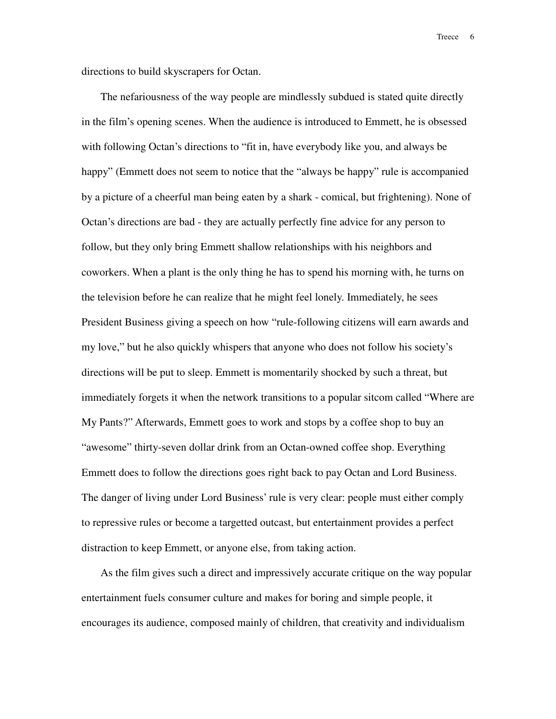directions to build skyscrapers for Octan.

The nefariousness of the way people are mindlessly subdued is stated quite directly in the film's opening scenes. When the audience is introduced to Emmett, he is obsessed with following Octan's directions to "fit in, have everybody like you, and always be happy" (Emmett does not seem to notice that the "always be happy" rule is accompanied by a picture of a cheerful man being eaten by a shark - comical, but frightening). None of Octan's directions are bad - they are actually perfectly fine advice for any person to follow, but they only bring Emmett shallow relationships with his neighbors and coworkers. When a plant is the only thing he has to spend his morning with, he turns on the television before he can realize that he might feel lonely. Immediately, he sees President Business giving a speech on how "rule-following citizens will earn awards and my love," but he also quickly whispers that anyone who does not follow his society's directions will be put to sleep. Emmett is momentarily shocked by such a threat, but immediately forgets it when the network transitions to a popular sitcom called "Where are My Pants?" Afterwards, Emmett goes to work and stops by a coffee shop to buy an "awesome" thirty-seven dollar drink from an Octan-owned coffee shop. Everything Emmett does to follow the directions goes right back to pay Octan and Lord Business. The danger of living under Lord Business' rule is very clear: people must either comply to repressive rules or become a targetted outcast, but entertainment provides a perfect distraction to keep Emmett, or anyone else, from taking action.

As the film gives such a direct and impressively accurate critique on the way popular entertainment fuels consumer culture and makes for boring and simple people, it encourages its audience, composed mainly of children, that creativity and individualism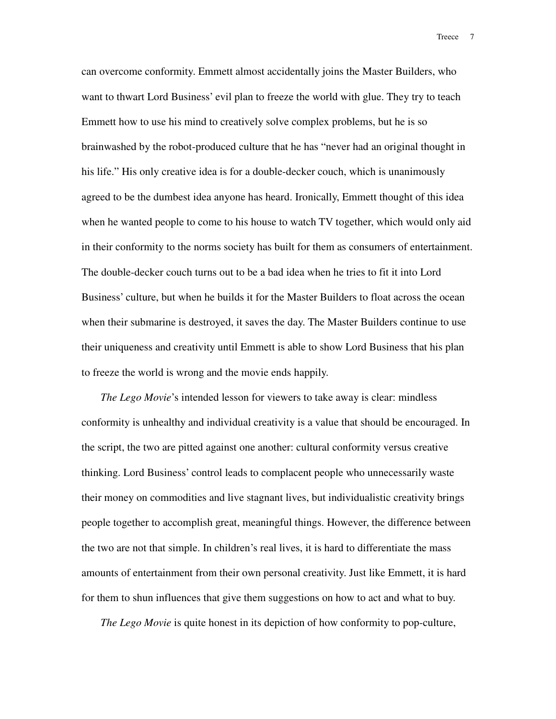can overcome conformity. Emmett almost accidentally joins the Master Builders, who want to thwart Lord Business' evil plan to freeze the world with glue. They try to teach Emmett how to use his mind to creatively solve complex problems, but he is so brainwashed by the robot-produced culture that he has "never had an original thought in his life." His only creative idea is for a double-decker couch, which is unanimously agreed to be the dumbest idea anyone has heard. Ironically, Emmett thought of this idea when he wanted people to come to his house to watch TV together, which would only aid in their conformity to the norms society has built for them as consumers of entertainment. The double-decker couch turns out to be a bad idea when he tries to fit it into Lord Business' culture, but when he builds it for the Master Builders to float across the ocean when their submarine is destroyed, it saves the day. The Master Builders continue to use their uniqueness and creativity until Emmett is able to show Lord Business that his plan to freeze the world is wrong and the movie ends happily.

*The Lego Movie*'s intended lesson for viewers to take away is clear: mindless conformity is unhealthy and individual creativity is a value that should be encouraged. In the script, the two are pitted against one another: cultural conformity versus creative thinking. Lord Business' control leads to complacent people who unnecessarily waste their money on commodities and live stagnant lives, but individualistic creativity brings people together to accomplish great, meaningful things. However, the difference between the two are not that simple. In children's real lives, it is hard to differentiate the mass amounts of entertainment from their own personal creativity. Just like Emmett, it is hard for them to shun influences that give them suggestions on how to act and what to buy.

*The Lego Movie* is quite honest in its depiction of how conformity to pop-culture,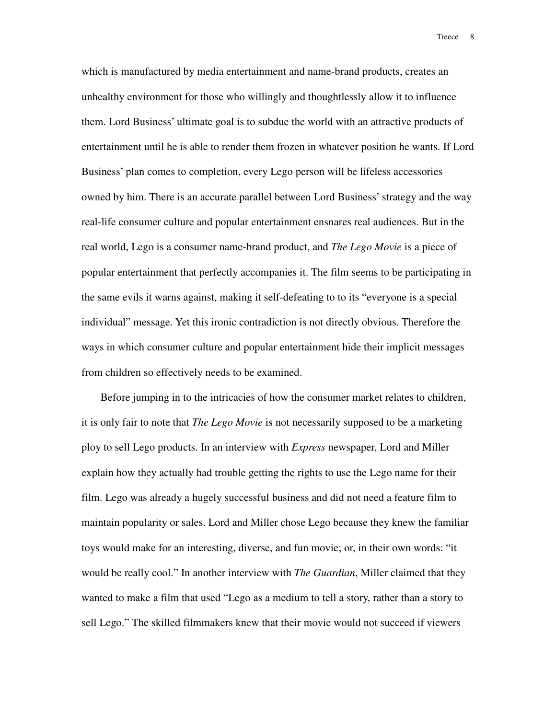which is manufactured by media entertainment and name-brand products, creates an unhealthy environment for those who willingly and thoughtlessly allow it to influence them. Lord Business' ultimate goal is to subdue the world with an attractive products of entertainment until he is able to render them frozen in whatever position he wants. If Lord Business' plan comes to completion, every Lego person will be lifeless accessories owned by him. There is an accurate parallel between Lord Business' strategy and the way real-life consumer culture and popular entertainment ensnares real audiences. But in the real world, Lego is a consumer name-brand product, and *The Lego Movie* is a piece of popular entertainment that perfectly accompanies it. The film seems to be participating in the same evils it warns against, making it self-defeating to to its "everyone is a special individual" message. Yet this ironic contradiction is not directly obvious. Therefore the ways in which consumer culture and popular entertainment hide their implicit messages from children so effectively needs to be examined.

Before jumping in to the intricacies of how the consumer market relates to children, it is only fair to note that *The Lego Movie* is not necessarily supposed to be a marketing ploy to sell Lego products. In an interview with *Express* newspaper, Lord and Miller explain how they actually had trouble getting the rights to use the Lego name for their film. Lego was already a hugely successful business and did not need a feature film to maintain popularity or sales. Lord and Miller chose Lego because they knew the familiar toys would make for an interesting, diverse, and fun movie; or, in their own words: "it would be really cool." In another interview with *The Guardian*, Miller claimed that they wanted to make a film that used "Lego as a medium to tell a story, rather than a story to sell Lego." The skilled filmmakers knew that their movie would not succeed if viewers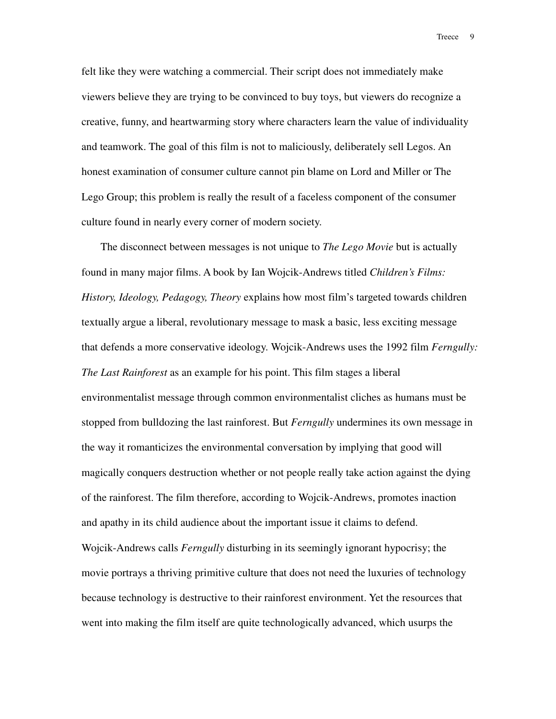felt like they were watching a commercial. Their script does not immediately make viewers believe they are trying to be convinced to buy toys, but viewers do recognize a creative, funny, and heartwarming story where characters learn the value of individuality and teamwork. The goal of this film is not to maliciously, deliberately sell Legos. An honest examination of consumer culture cannot pin blame on Lord and Miller or The Lego Group; this problem is really the result of a faceless component of the consumer culture found in nearly every corner of modern society.

The disconnect between messages is not unique to *The Lego Movie* but is actually found in many major films. A book by Ian Wojcik-Andrews titled *Children's Films: History, Ideology, Pedagogy, Theory* explains how most film's targeted towards children textually argue a liberal, revolutionary message to mask a basic, less exciting message that defends a more conservative ideology. Wojcik-Andrews uses the 1992 film *Ferngully: The Last Rainforest* as an example for his point. This film stages a liberal environmentalist message through common environmentalist cliches as humans must be stopped from bulldozing the last rainforest. But *Ferngully* undermines its own message in the way it romanticizes the environmental conversation by implying that good will magically conquers destruction whether or not people really take action against the dying of the rainforest. The film therefore, according to Wojcik-Andrews, promotes inaction and apathy in its child audience about the important issue it claims to defend. Wojcik-Andrews calls *Ferngully* disturbing in its seemingly ignorant hypocrisy; the movie portrays a thriving primitive culture that does not need the luxuries of technology because technology is destructive to their rainforest environment. Yet the resources that went into making the film itself are quite technologically advanced, which usurps the

Treece 9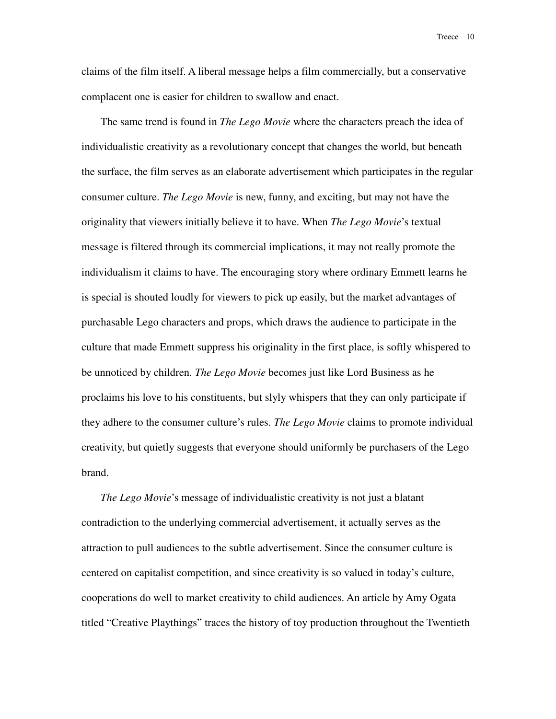claims of the film itself. A liberal message helps a film commercially, but a conservative complacent one is easier for children to swallow and enact.

The same trend is found in *The Lego Movie* where the characters preach the idea of individualistic creativity as a revolutionary concept that changes the world, but beneath the surface, the film serves as an elaborate advertisement which participates in the regular consumer culture. *The Lego Movie* is new, funny, and exciting, but may not have the originality that viewers initially believe it to have. When *The Lego Movie*'s textual message is filtered through its commercial implications, it may not really promote the individualism it claims to have. The encouraging story where ordinary Emmett learns he is special is shouted loudly for viewers to pick up easily, but the market advantages of purchasable Lego characters and props, which draws the audience to participate in the culture that made Emmett suppress his originality in the first place, is softly whispered to be unnoticed by children. *The Lego Movie* becomes just like Lord Business as he proclaims his love to his constituents, but slyly whispers that they can only participate if they adhere to the consumer culture's rules. *The Lego Movie* claims to promote individual creativity, but quietly suggests that everyone should uniformly be purchasers of the Lego brand.

*The Lego Movie*'s message of individualistic creativity is not just a blatant contradiction to the underlying commercial advertisement, it actually serves as the attraction to pull audiences to the subtle advertisement. Since the consumer culture is centered on capitalist competition, and since creativity is so valued in today's culture, cooperations do well to market creativity to child audiences. An article by Amy Ogata titled "Creative Playthings" traces the history of toy production throughout the Twentieth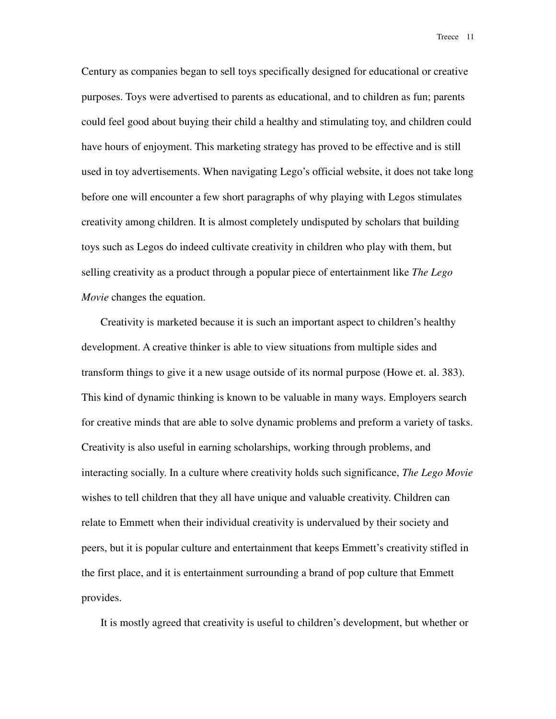Century as companies began to sell toys specifically designed for educational or creative purposes. Toys were advertised to parents as educational, and to children as fun; parents could feel good about buying their child a healthy and stimulating toy, and children could have hours of enjoyment. This marketing strategy has proved to be effective and is still used in toy advertisements. When navigating Lego's official website, it does not take long before one will encounter a few short paragraphs of why playing with Legos stimulates creativity among children. It is almost completely undisputed by scholars that building toys such as Legos do indeed cultivate creativity in children who play with them, but selling creativity as a product through a popular piece of entertainment like *The Lego Movie* changes the equation.

Creativity is marketed because it is such an important aspect to children's healthy development. A creative thinker is able to view situations from multiple sides and transform things to give it a new usage outside of its normal purpose (Howe et. al. 383). This kind of dynamic thinking is known to be valuable in many ways. Employers search for creative minds that are able to solve dynamic problems and preform a variety of tasks. Creativity is also useful in earning scholarships, working through problems, and interacting socially. In a culture where creativity holds such significance, *The Lego Movie* wishes to tell children that they all have unique and valuable creativity. Children can relate to Emmett when their individual creativity is undervalued by their society and peers, but it is popular culture and entertainment that keeps Emmett's creativity stifled in the first place, and it is entertainment surrounding a brand of pop culture that Emmett provides.

It is mostly agreed that creativity is useful to children's development, but whether or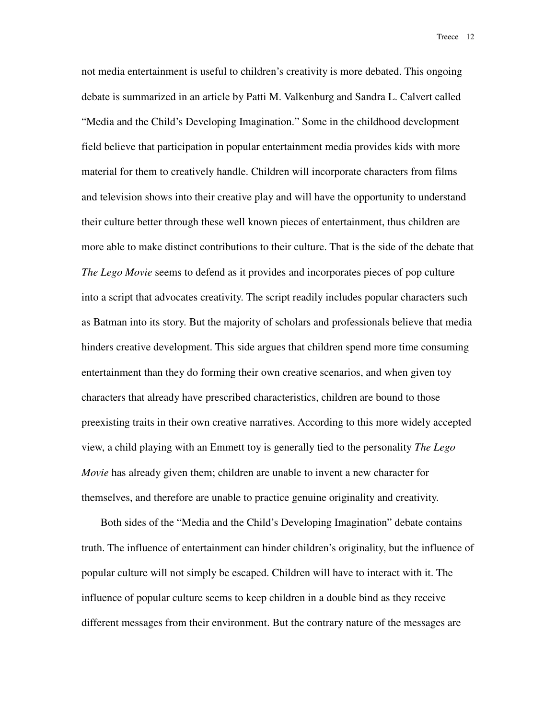not media entertainment is useful to children's creativity is more debated. This ongoing debate is summarized in an article by Patti M. Valkenburg and Sandra L. Calvert called "Media and the Child's Developing Imagination." Some in the childhood development field believe that participation in popular entertainment media provides kids with more material for them to creatively handle. Children will incorporate characters from films and television shows into their creative play and will have the opportunity to understand their culture better through these well known pieces of entertainment, thus children are more able to make distinct contributions to their culture. That is the side of the debate that *The Lego Movie* seems to defend as it provides and incorporates pieces of pop culture into a script that advocates creativity. The script readily includes popular characters such as Batman into its story. But the majority of scholars and professionals believe that media hinders creative development. This side argues that children spend more time consuming entertainment than they do forming their own creative scenarios, and when given toy characters that already have prescribed characteristics, children are bound to those preexisting traits in their own creative narratives. According to this more widely accepted view, a child playing with an Emmett toy is generally tied to the personality *The Lego Movie* has already given them; children are unable to invent a new character for themselves, and therefore are unable to practice genuine originality and creativity.

Both sides of the "Media and the Child's Developing Imagination" debate contains truth. The influence of entertainment can hinder children's originality, but the influence of popular culture will not simply be escaped. Children will have to interact with it. The influence of popular culture seems to keep children in a double bind as they receive different messages from their environment. But the contrary nature of the messages are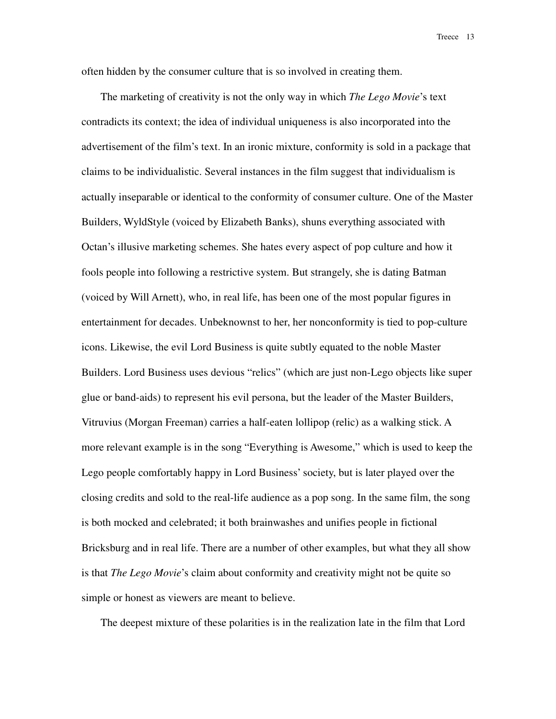often hidden by the consumer culture that is so involved in creating them.

The marketing of creativity is not the only way in which *The Lego Movie*'s text contradicts its context; the idea of individual uniqueness is also incorporated into the advertisement of the film's text. In an ironic mixture, conformity is sold in a package that claims to be individualistic. Several instances in the film suggest that individualism is actually inseparable or identical to the conformity of consumer culture. One of the Master Builders, WyldStyle (voiced by Elizabeth Banks), shuns everything associated with Octan's illusive marketing schemes. She hates every aspect of pop culture and how it fools people into following a restrictive system. But strangely, she is dating Batman (voiced by Will Arnett), who, in real life, has been one of the most popular figures in entertainment for decades. Unbeknownst to her, her nonconformity is tied to pop-culture icons. Likewise, the evil Lord Business is quite subtly equated to the noble Master Builders. Lord Business uses devious "relics" (which are just non-Lego objects like super glue or band-aids) to represent his evil persona, but the leader of the Master Builders, Vitruvius (Morgan Freeman) carries a half-eaten lollipop (relic) as a walking stick. A more relevant example is in the song "Everything is Awesome," which is used to keep the Lego people comfortably happy in Lord Business' society, but is later played over the closing credits and sold to the real-life audience as a pop song. In the same film, the song is both mocked and celebrated; it both brainwashes and unifies people in fictional Bricksburg and in real life. There are a number of other examples, but what they all show is that *The Lego Movie*'s claim about conformity and creativity might not be quite so simple or honest as viewers are meant to believe.

The deepest mixture of these polarities is in the realization late in the film that Lord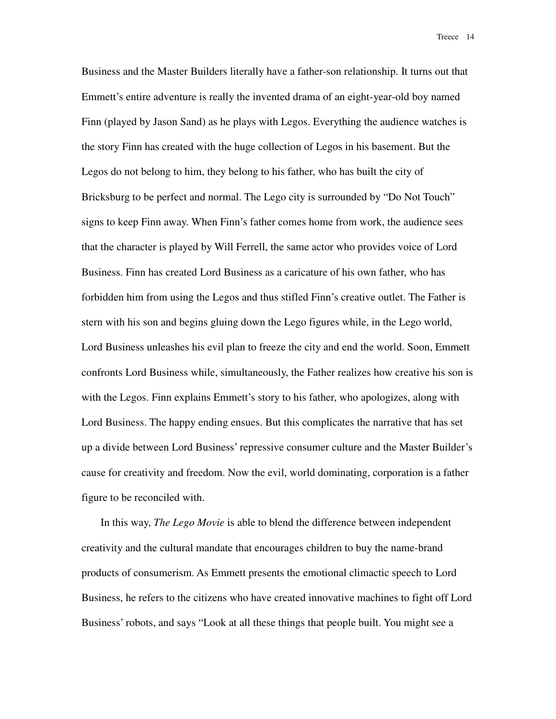Business and the Master Builders literally have a father-son relationship. It turns out that Emmett's entire adventure is really the invented drama of an eight-year-old boy named Finn (played by Jason Sand) as he plays with Legos. Everything the audience watches is the story Finn has created with the huge collection of Legos in his basement. But the Legos do not belong to him, they belong to his father, who has built the city of Bricksburg to be perfect and normal. The Lego city is surrounded by "Do Not Touch" signs to keep Finn away. When Finn's father comes home from work, the audience sees that the character is played by Will Ferrell, the same actor who provides voice of Lord Business. Finn has created Lord Business as a caricature of his own father, who has forbidden him from using the Legos and thus stifled Finn's creative outlet. The Father is stern with his son and begins gluing down the Lego figures while, in the Lego world, Lord Business unleashes his evil plan to freeze the city and end the world. Soon, Emmett confronts Lord Business while, simultaneously, the Father realizes how creative his son is with the Legos. Finn explains Emmett's story to his father, who apologizes, along with Lord Business. The happy ending ensues. But this complicates the narrative that has set up a divide between Lord Business' repressive consumer culture and the Master Builder's cause for creativity and freedom. Now the evil, world dominating, corporation is a father figure to be reconciled with.

In this way, *The Lego Movie* is able to blend the difference between independent creativity and the cultural mandate that encourages children to buy the name-brand products of consumerism. As Emmett presents the emotional climactic speech to Lord Business, he refers to the citizens who have created innovative machines to fight off Lord Business' robots, and says "Look at all these things that people built. You might see a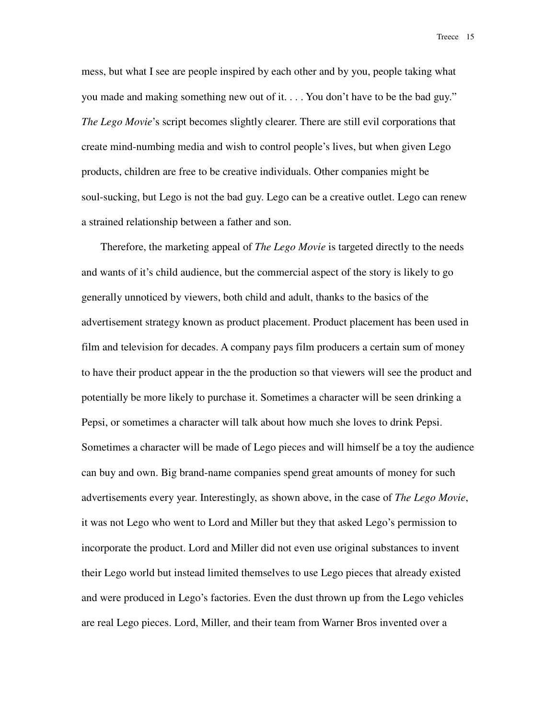mess, but what I see are people inspired by each other and by you, people taking what you made and making something new out of it. . . . You don't have to be the bad guy." *The Lego Movie*'s script becomes slightly clearer. There are still evil corporations that create mind-numbing media and wish to control people's lives, but when given Lego products, children are free to be creative individuals. Other companies might be soul-sucking, but Lego is not the bad guy. Lego can be a creative outlet. Lego can renew a strained relationship between a father and son.

Therefore, the marketing appeal of *The Lego Movie* is targeted directly to the needs and wants of it's child audience, but the commercial aspect of the story is likely to go generally unnoticed by viewers, both child and adult, thanks to the basics of the advertisement strategy known as product placement. Product placement has been used in film and television for decades. A company pays film producers a certain sum of money to have their product appear in the the production so that viewers will see the product and potentially be more likely to purchase it. Sometimes a character will be seen drinking a Pepsi, or sometimes a character will talk about how much she loves to drink Pepsi. Sometimes a character will be made of Lego pieces and will himself be a toy the audience can buy and own. Big brand-name companies spend great amounts of money for such advertisements every year. Interestingly, as shown above, in the case of *The Lego Movie*, it was not Lego who went to Lord and Miller but they that asked Lego's permission to incorporate the product. Lord and Miller did not even use original substances to invent their Lego world but instead limited themselves to use Lego pieces that already existed and were produced in Lego's factories. Even the dust thrown up from the Lego vehicles are real Lego pieces. Lord, Miller, and their team from Warner Bros invented over a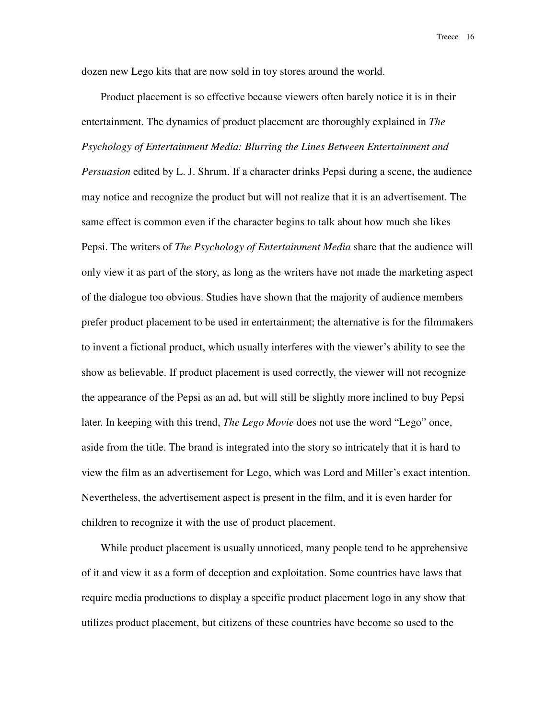dozen new Lego kits that are now sold in toy stores around the world.

Product placement is so effective because viewers often barely notice it is in their entertainment. The dynamics of product placement are thoroughly explained in *The Psychology of Entertainment Media: Blurring the Lines Between Entertainment and Persuasion* edited by L. J. Shrum. If a character drinks Pepsi during a scene, the audience may notice and recognize the product but will not realize that it is an advertisement. The same effect is common even if the character begins to talk about how much she likes Pepsi. The writers of *The Psychology of Entertainment Media* share that the audience will only view it as part of the story, as long as the writers have not made the marketing aspect of the dialogue too obvious. Studies have shown that the majority of audience members prefer product placement to be used in entertainment; the alternative is for the filmmakers to invent a fictional product, which usually interferes with the viewer's ability to see the show as believable. If product placement is used correctly, the viewer will not recognize the appearance of the Pepsi as an ad, but will still be slightly more inclined to buy Pepsi later. In keeping with this trend, *The Lego Movie* does not use the word "Lego" once, aside from the title. The brand is integrated into the story so intricately that it is hard to view the film as an advertisement for Lego, which was Lord and Miller's exact intention. Nevertheless, the advertisement aspect is present in the film, and it is even harder for children to recognize it with the use of product placement.

While product placement is usually unnoticed, many people tend to be apprehensive of it and view it as a form of deception and exploitation. Some countries have laws that require media productions to display a specific product placement logo in any show that utilizes product placement, but citizens of these countries have become so used to the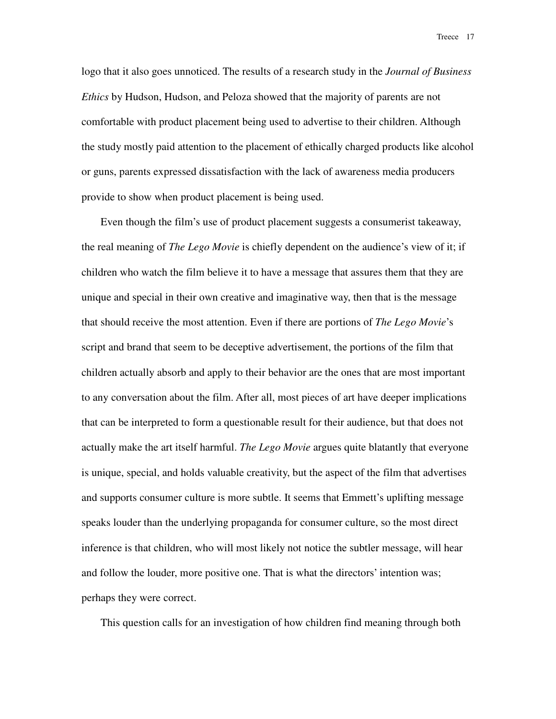logo that it also goes unnoticed. The results of a research study in the *Journal of Business Ethics* by Hudson, Hudson, and Peloza showed that the majority of parents are not comfortable with product placement being used to advertise to their children. Although the study mostly paid attention to the placement of ethically charged products like alcohol or guns, parents expressed dissatisfaction with the lack of awareness media producers provide to show when product placement is being used.

Even though the film's use of product placement suggests a consumerist takeaway, the real meaning of *The Lego Movie* is chiefly dependent on the audience's view of it; if children who watch the film believe it to have a message that assures them that they are unique and special in their own creative and imaginative way, then that is the message that should receive the most attention. Even if there are portions of *The Lego Movie*'s script and brand that seem to be deceptive advertisement, the portions of the film that children actually absorb and apply to their behavior are the ones that are most important to any conversation about the film. After all, most pieces of art have deeper implications that can be interpreted to form a questionable result for their audience, but that does not actually make the art itself harmful. *The Lego Movie* argues quite blatantly that everyone is unique, special, and holds valuable creativity, but the aspect of the film that advertises and supports consumer culture is more subtle. It seems that Emmett's uplifting message speaks louder than the underlying propaganda for consumer culture, so the most direct inference is that children, who will most likely not notice the subtler message, will hear and follow the louder, more positive one. That is what the directors' intention was; perhaps they were correct.

This question calls for an investigation of how children find meaning through both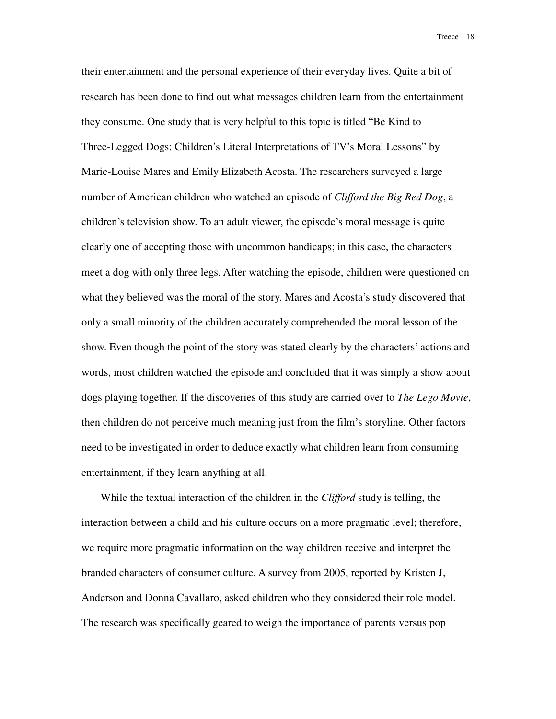their entertainment and the personal experience of their everyday lives. Quite a bit of research has been done to find out what messages children learn from the entertainment they consume. One study that is very helpful to this topic is titled "Be Kind to Three-Legged Dogs: Children's Literal Interpretations of TV's Moral Lessons" by Marie-Louise Mares and Emily Elizabeth Acosta. The researchers surveyed a large number of American children who watched an episode of *Clifford the Big Red Dog*, a children's television show. To an adult viewer, the episode's moral message is quite clearly one of accepting those with uncommon handicaps; in this case, the characters meet a dog with only three legs. After watching the episode, children were questioned on what they believed was the moral of the story. Mares and Acosta's study discovered that only a small minority of the children accurately comprehended the moral lesson of the show. Even though the point of the story was stated clearly by the characters' actions and words, most children watched the episode and concluded that it was simply a show about dogs playing together. If the discoveries of this study are carried over to *The Lego Movie*, then children do not perceive much meaning just from the film's storyline. Other factors need to be investigated in order to deduce exactly what children learn from consuming entertainment, if they learn anything at all.

While the textual interaction of the children in the *Clifford* study is telling, the interaction between a child and his culture occurs on a more pragmatic level; therefore, we require more pragmatic information on the way children receive and interpret the branded characters of consumer culture. A survey from 2005, reported by Kristen J, Anderson and Donna Cavallaro, asked children who they considered their role model. The research was specifically geared to weigh the importance of parents versus pop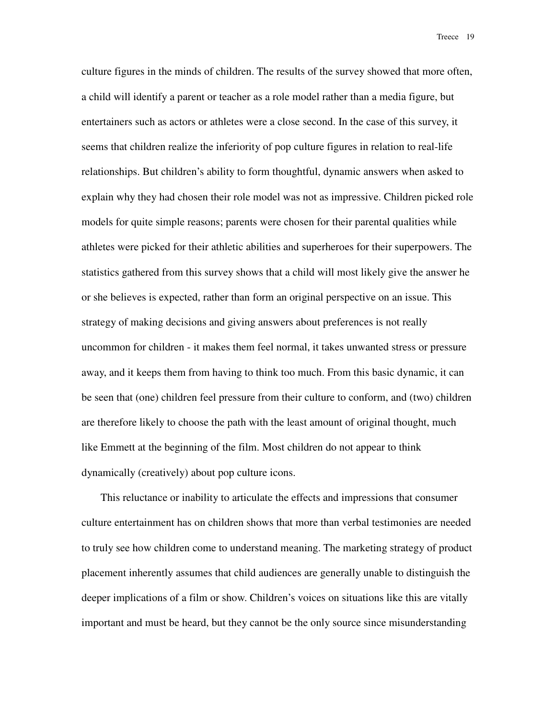culture figures in the minds of children. The results of the survey showed that more often, a child will identify a parent or teacher as a role model rather than a media figure, but entertainers such as actors or athletes were a close second. In the case of this survey, it seems that children realize the inferiority of pop culture figures in relation to real-life relationships. But children's ability to form thoughtful, dynamic answers when asked to explain why they had chosen their role model was not as impressive. Children picked role models for quite simple reasons; parents were chosen for their parental qualities while athletes were picked for their athletic abilities and superheroes for their superpowers. The statistics gathered from this survey shows that a child will most likely give the answer he or she believes is expected, rather than form an original perspective on an issue. This strategy of making decisions and giving answers about preferences is not really uncommon for children - it makes them feel normal, it takes unwanted stress or pressure away, and it keeps them from having to think too much. From this basic dynamic, it can be seen that (one) children feel pressure from their culture to conform, and (two) children are therefore likely to choose the path with the least amount of original thought, much like Emmett at the beginning of the film. Most children do not appear to think dynamically (creatively) about pop culture icons.

This reluctance or inability to articulate the effects and impressions that consumer culture entertainment has on children shows that more than verbal testimonies are needed to truly see how children come to understand meaning. The marketing strategy of product placement inherently assumes that child audiences are generally unable to distinguish the deeper implications of a film or show. Children's voices on situations like this are vitally important and must be heard, but they cannot be the only source since misunderstanding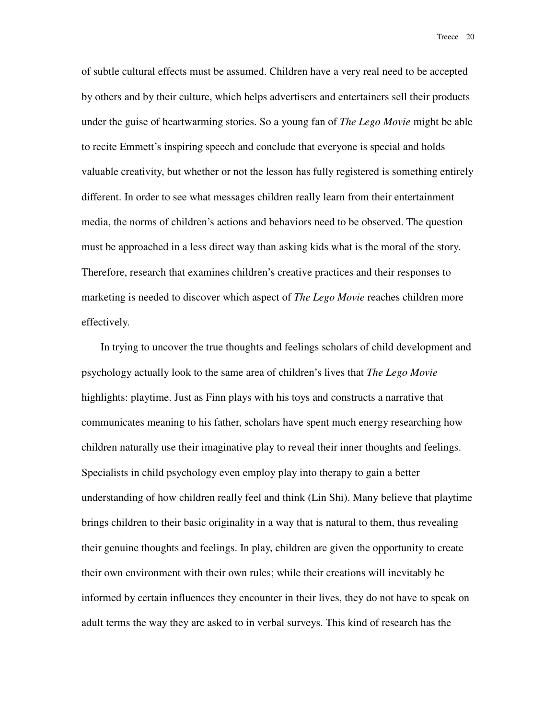of subtle cultural effects must be assumed. Children have a very real need to be accepted by others and by their culture, which helps advertisers and entertainers sell their products under the guise of heartwarming stories. So a young fan of *The Lego Movie* might be able to recite Emmett's inspiring speech and conclude that everyone is special and holds valuable creativity, but whether or not the lesson has fully registered is something entirely different. In order to see what messages children really learn from their entertainment media, the norms of children's actions and behaviors need to be observed. The question must be approached in a less direct way than asking kids what is the moral of the story. Therefore, research that examines children's creative practices and their responses to marketing is needed to discover which aspect of *The Lego Movie* reaches children more effectively.

In trying to uncover the true thoughts and feelings scholars of child development and psychology actually look to the same area of children's lives that *The Lego Movie* highlights: playtime. Just as Finn plays with his toys and constructs a narrative that communicates meaning to his father, scholars have spent much energy researching how children naturally use their imaginative play to reveal their inner thoughts and feelings. Specialists in child psychology even employ play into therapy to gain a better understanding of how children really feel and think (Lin Shi). Many believe that playtime brings children to their basic originality in a way that is natural to them, thus revealing their genuine thoughts and feelings. In play, children are given the opportunity to create their own environment with their own rules; while their creations will inevitably be informed by certain influences they encounter in their lives, they do not have to speak on adult terms the way they are asked to in verbal surveys. This kind of research has the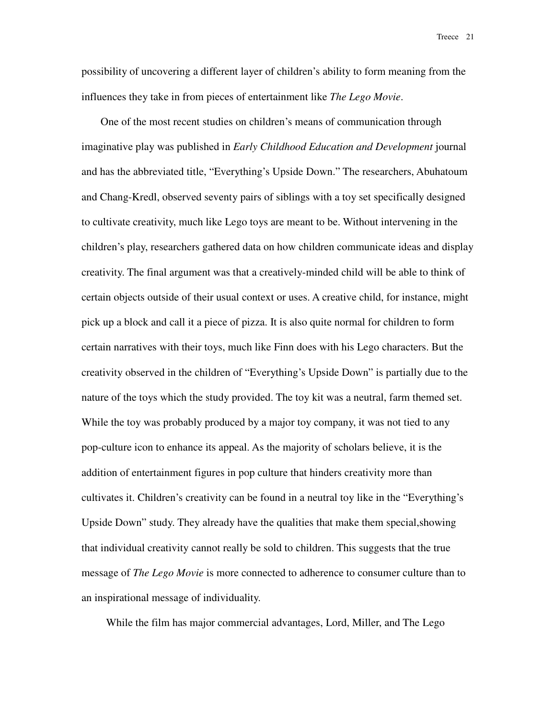possibility of uncovering a different layer of children's ability to form meaning from the influences they take in from pieces of entertainment like *The Lego Movie*.

One of the most recent studies on children's means of communication through imaginative play was published in *Early Childhood Education and Development* journal and has the abbreviated title, "Everything's Upside Down." The researchers, Abuhatoum and Chang-Kredl, observed seventy pairs of siblings with a toy set specifically designed to cultivate creativity, much like Lego toys are meant to be. Without intervening in the children's play, researchers gathered data on how children communicate ideas and display creativity. The final argument was that a creatively-minded child will be able to think of certain objects outside of their usual context or uses. A creative child, for instance, might pick up a block and call it a piece of pizza. It is also quite normal for children to form certain narratives with their toys, much like Finn does with his Lego characters. But the creativity observed in the children of "Everything's Upside Down" is partially due to the nature of the toys which the study provided. The toy kit was a neutral, farm themed set. While the toy was probably produced by a major toy company, it was not tied to any pop-culture icon to enhance its appeal. As the majority of scholars believe, it is the addition of entertainment figures in pop culture that hinders creativity more than cultivates it. Children's creativity can be found in a neutral toy like in the "Everything's Upside Down" study. They already have the qualities that make them special,showing that individual creativity cannot really be sold to children. This suggests that the true message of *The Lego Movie* is more connected to adherence to consumer culture than to an inspirational message of individuality.

While the film has major commercial advantages, Lord, Miller, and The Lego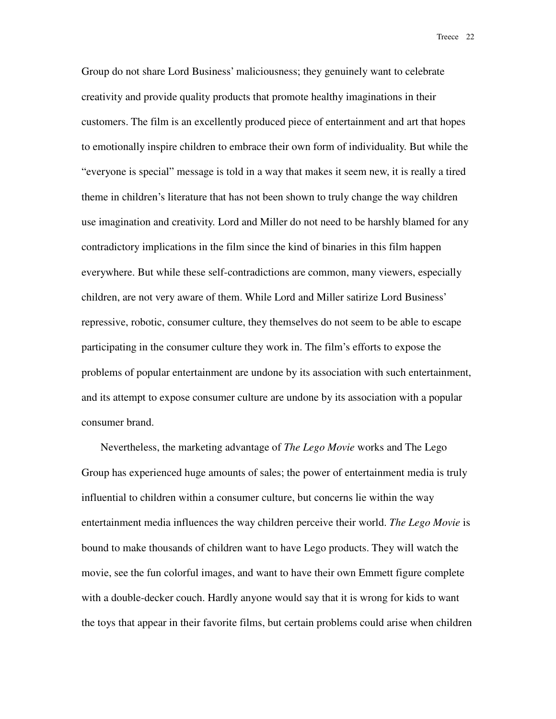Group do not share Lord Business' maliciousness; they genuinely want to celebrate creativity and provide quality products that promote healthy imaginations in their customers. The film is an excellently produced piece of entertainment and art that hopes to emotionally inspire children to embrace their own form of individuality. But while the "everyone is special" message is told in a way that makes it seem new, it is really a tired theme in children's literature that has not been shown to truly change the way children use imagination and creativity. Lord and Miller do not need to be harshly blamed for any contradictory implications in the film since the kind of binaries in this film happen everywhere. But while these self-contradictions are common, many viewers, especially children, are not very aware of them. While Lord and Miller satirize Lord Business' repressive, robotic, consumer culture, they themselves do not seem to be able to escape participating in the consumer culture they work in. The film's efforts to expose the problems of popular entertainment are undone by its association with such entertainment, and its attempt to expose consumer culture are undone by its association with a popular consumer brand.

Nevertheless, the marketing advantage of *The Lego Movie* works and The Lego Group has experienced huge amounts of sales; the power of entertainment media is truly influential to children within a consumer culture, but concerns lie within the way entertainment media influences the way children perceive their world. *The Lego Movie* is bound to make thousands of children want to have Lego products. They will watch the movie, see the fun colorful images, and want to have their own Emmett figure complete with a double-decker couch. Hardly anyone would say that it is wrong for kids to want the toys that appear in their favorite films, but certain problems could arise when children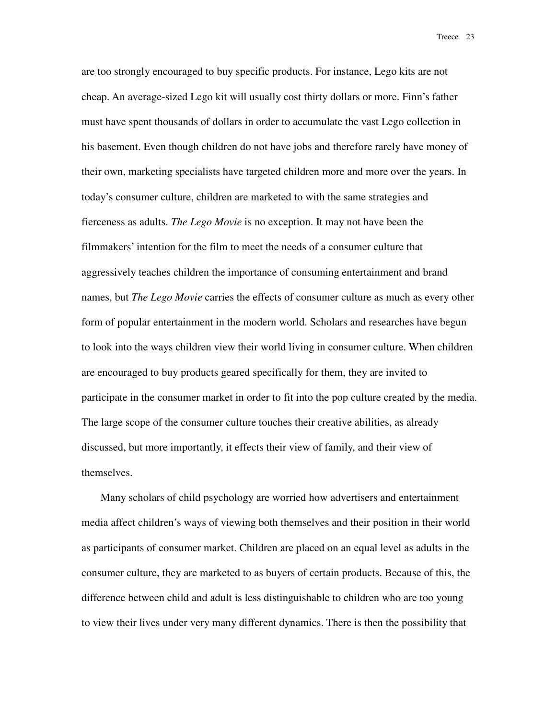are too strongly encouraged to buy specific products. For instance, Lego kits are not cheap. An average-sized Lego kit will usually cost thirty dollars or more. Finn's father must have spent thousands of dollars in order to accumulate the vast Lego collection in his basement. Even though children do not have jobs and therefore rarely have money of their own, marketing specialists have targeted children more and more over the years. In today's consumer culture, children are marketed to with the same strategies and fierceness as adults. *The Lego Movie* is no exception. It may not have been the filmmakers' intention for the film to meet the needs of a consumer culture that aggressively teaches children the importance of consuming entertainment and brand names, but *The Lego Movie* carries the effects of consumer culture as much as every other form of popular entertainment in the modern world. Scholars and researches have begun to look into the ways children view their world living in consumer culture. When children are encouraged to buy products geared specifically for them, they are invited to participate in the consumer market in order to fit into the pop culture created by the media. The large scope of the consumer culture touches their creative abilities, as already discussed, but more importantly, it effects their view of family, and their view of themselves.

Many scholars of child psychology are worried how advertisers and entertainment media affect children's ways of viewing both themselves and their position in their world as participants of consumer market. Children are placed on an equal level as adults in the consumer culture, they are marketed to as buyers of certain products. Because of this, the difference between child and adult is less distinguishable to children who are too young to view their lives under very many different dynamics. There is then the possibility that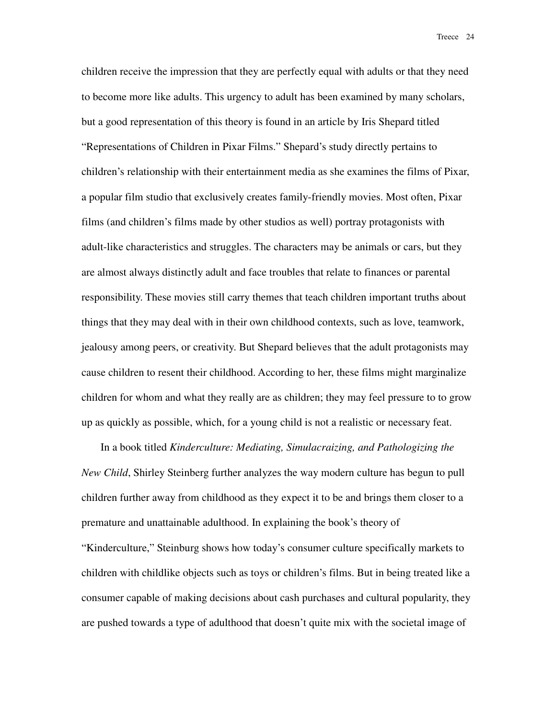children receive the impression that they are perfectly equal with adults or that they need to become more like adults. This urgency to adult has been examined by many scholars, but a good representation of this theory is found in an article by Iris Shepard titled "Representations of Children in Pixar Films." Shepard's study directly pertains to children's relationship with their entertainment media as she examines the films of Pixar, a popular film studio that exclusively creates family-friendly movies. Most often, Pixar films (and children's films made by other studios as well) portray protagonists with adult-like characteristics and struggles. The characters may be animals or cars, but they are almost always distinctly adult and face troubles that relate to finances or parental responsibility. These movies still carry themes that teach children important truths about things that they may deal with in their own childhood contexts, such as love, teamwork, jealousy among peers, or creativity. But Shepard believes that the adult protagonists may cause children to resent their childhood. According to her, these films might marginalize children for whom and what they really are as children; they may feel pressure to to grow up as quickly as possible, which, for a young child is not a realistic or necessary feat.

In a book titled *Kinderculture: Mediating, Simulacraizing, and Pathologizing the New Child*, Shirley Steinberg further analyzes the way modern culture has begun to pull children further away from childhood as they expect it to be and brings them closer to a premature and unattainable adulthood. In explaining the book's theory of "Kinderculture," Steinburg shows how today's consumer culture specifically markets to children with childlike objects such as toys or children's films. But in being treated like a consumer capable of making decisions about cash purchases and cultural popularity, they are pushed towards a type of adulthood that doesn't quite mix with the societal image of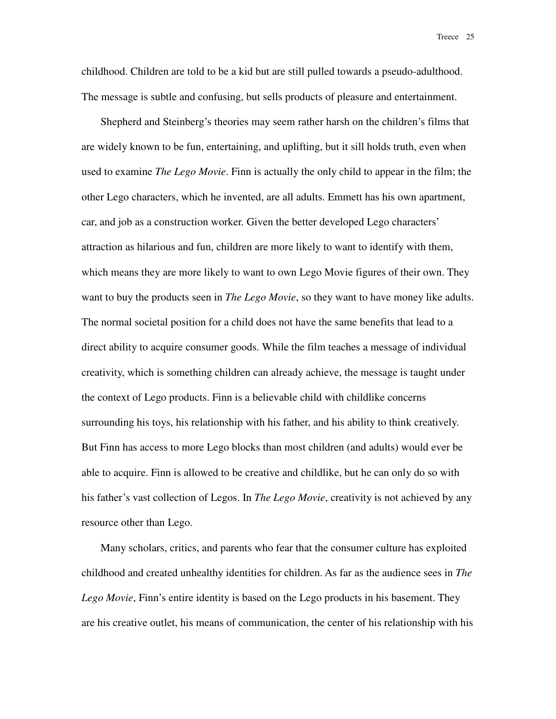childhood. Children are told to be a kid but are still pulled towards a pseudo-adulthood. The message is subtle and confusing, but sells products of pleasure and entertainment.

Shepherd and Steinberg's theories may seem rather harsh on the children's films that are widely known to be fun, entertaining, and uplifting, but it sill holds truth, even when used to examine *The Lego Movie*. Finn is actually the only child to appear in the film; the other Lego characters, which he invented, are all adults. Emmett has his own apartment, car, and job as a construction worker. Given the better developed Lego characters' attraction as hilarious and fun, children are more likely to want to identify with them, which means they are more likely to want to own Lego Movie figures of their own. They want to buy the products seen in *The Lego Movie*, so they want to have money like adults. The normal societal position for a child does not have the same benefits that lead to a direct ability to acquire consumer goods. While the film teaches a message of individual creativity, which is something children can already achieve, the message is taught under the context of Lego products. Finn is a believable child with childlike concerns surrounding his toys, his relationship with his father, and his ability to think creatively. But Finn has access to more Lego blocks than most children (and adults) would ever be able to acquire. Finn is allowed to be creative and childlike, but he can only do so with his father's vast collection of Legos. In *The Lego Movie*, creativity is not achieved by any resource other than Lego.

Many scholars, critics, and parents who fear that the consumer culture has exploited childhood and created unhealthy identities for children. As far as the audience sees in *The Lego Movie*, Finn's entire identity is based on the Lego products in his basement. They are his creative outlet, his means of communication, the center of his relationship with his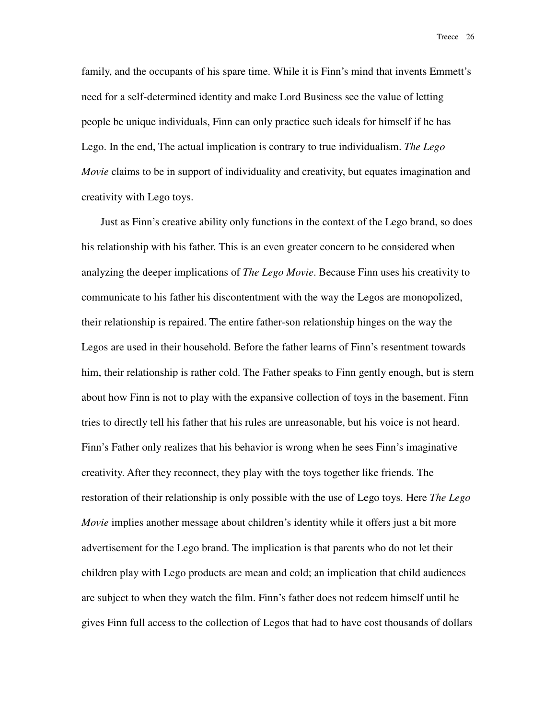family, and the occupants of his spare time. While it is Finn's mind that invents Emmett's need for a self-determined identity and make Lord Business see the value of letting people be unique individuals, Finn can only practice such ideals for himself if he has Lego. In the end, The actual implication is contrary to true individualism. *The Lego Movie* claims to be in support of individuality and creativity, but equates imagination and creativity with Lego toys.

Just as Finn's creative ability only functions in the context of the Lego brand, so does his relationship with his father. This is an even greater concern to be considered when analyzing the deeper implications of *The Lego Movie*. Because Finn uses his creativity to communicate to his father his discontentment with the way the Legos are monopolized, their relationship is repaired. The entire father-son relationship hinges on the way the Legos are used in their household. Before the father learns of Finn's resentment towards him, their relationship is rather cold. The Father speaks to Finn gently enough, but is stern about how Finn is not to play with the expansive collection of toys in the basement. Finn tries to directly tell his father that his rules are unreasonable, but his voice is not heard. Finn's Father only realizes that his behavior is wrong when he sees Finn's imaginative creativity. After they reconnect, they play with the toys together like friends. The restoration of their relationship is only possible with the use of Lego toys. Here *The Lego Movie* implies another message about children's identity while it offers just a bit more advertisement for the Lego brand. The implication is that parents who do not let their children play with Lego products are mean and cold; an implication that child audiences are subject to when they watch the film. Finn's father does not redeem himself until he gives Finn full access to the collection of Legos that had to have cost thousands of dollars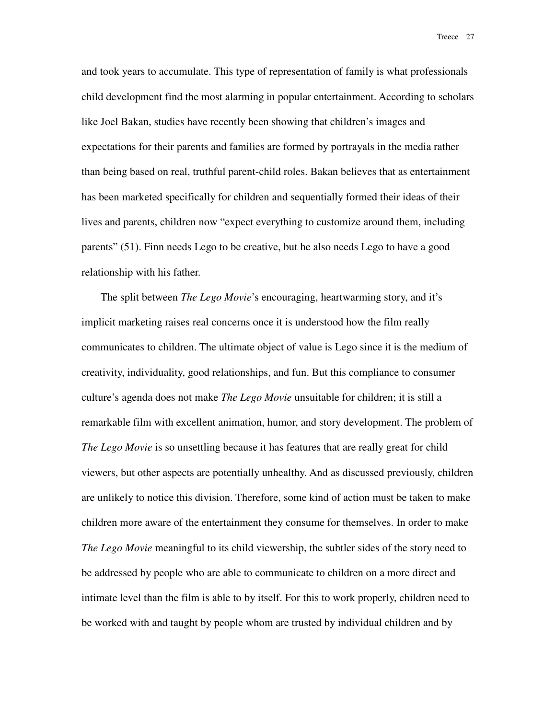and took years to accumulate. This type of representation of family is what professionals child development find the most alarming in popular entertainment. According to scholars like Joel Bakan, studies have recently been showing that children's images and expectations for their parents and families are formed by portrayals in the media rather than being based on real, truthful parent-child roles. Bakan believes that as entertainment has been marketed specifically for children and sequentially formed their ideas of their lives and parents, children now "expect everything to customize around them, including parents" (51). Finn needs Lego to be creative, but he also needs Lego to have a good relationship with his father.

The split between *The Lego Movie*'s encouraging, heartwarming story, and it's implicit marketing raises real concerns once it is understood how the film really communicates to children. The ultimate object of value is Lego since it is the medium of creativity, individuality, good relationships, and fun. But this compliance to consumer culture's agenda does not make *The Lego Movie* unsuitable for children; it is still a remarkable film with excellent animation, humor, and story development. The problem of *The Lego Movie* is so unsettling because it has features that are really great for child viewers, but other aspects are potentially unhealthy. And as discussed previously, children are unlikely to notice this division. Therefore, some kind of action must be taken to make children more aware of the entertainment they consume for themselves. In order to make *The Lego Movie* meaningful to its child viewership, the subtler sides of the story need to be addressed by people who are able to communicate to children on a more direct and intimate level than the film is able to by itself. For this to work properly, children need to be worked with and taught by people whom are trusted by individual children and by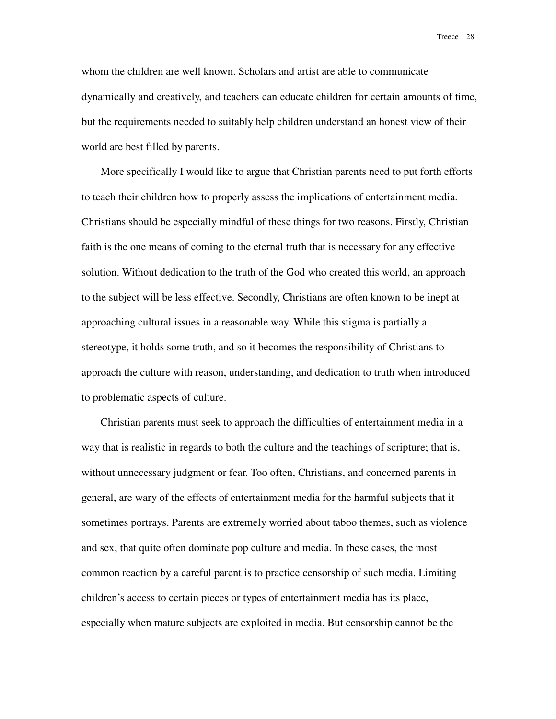whom the children are well known. Scholars and artist are able to communicate dynamically and creatively, and teachers can educate children for certain amounts of time, but the requirements needed to suitably help children understand an honest view of their world are best filled by parents.

More specifically I would like to argue that Christian parents need to put forth efforts to teach their children how to properly assess the implications of entertainment media. Christians should be especially mindful of these things for two reasons. Firstly, Christian faith is the one means of coming to the eternal truth that is necessary for any effective solution. Without dedication to the truth of the God who created this world, an approach to the subject will be less effective. Secondly, Christians are often known to be inept at approaching cultural issues in a reasonable way. While this stigma is partially a stereotype, it holds some truth, and so it becomes the responsibility of Christians to approach the culture with reason, understanding, and dedication to truth when introduced to problematic aspects of culture.

Christian parents must seek to approach the difficulties of entertainment media in a way that is realistic in regards to both the culture and the teachings of scripture; that is, without unnecessary judgment or fear. Too often, Christians, and concerned parents in general, are wary of the effects of entertainment media for the harmful subjects that it sometimes portrays. Parents are extremely worried about taboo themes, such as violence and sex, that quite often dominate pop culture and media. In these cases, the most common reaction by a careful parent is to practice censorship of such media. Limiting children's access to certain pieces or types of entertainment media has its place, especially when mature subjects are exploited in media. But censorship cannot be the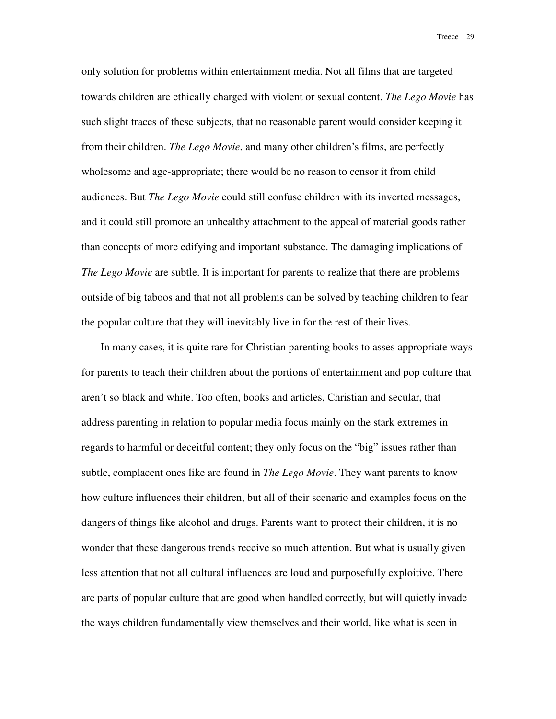only solution for problems within entertainment media. Not all films that are targeted towards children are ethically charged with violent or sexual content. *The Lego Movie* has such slight traces of these subjects, that no reasonable parent would consider keeping it from their children. *The Lego Movie*, and many other children's films, are perfectly wholesome and age-appropriate; there would be no reason to censor it from child audiences. But *The Lego Movie* could still confuse children with its inverted messages, and it could still promote an unhealthy attachment to the appeal of material goods rather than concepts of more edifying and important substance. The damaging implications of *The Lego Movie* are subtle. It is important for parents to realize that there are problems outside of big taboos and that not all problems can be solved by teaching children to fear the popular culture that they will inevitably live in for the rest of their lives.

In many cases, it is quite rare for Christian parenting books to asses appropriate ways for parents to teach their children about the portions of entertainment and pop culture that aren't so black and white. Too often, books and articles, Christian and secular, that address parenting in relation to popular media focus mainly on the stark extremes in regards to harmful or deceitful content; they only focus on the "big" issues rather than subtle, complacent ones like are found in *The Lego Movie*. They want parents to know how culture influences their children, but all of their scenario and examples focus on the dangers of things like alcohol and drugs. Parents want to protect their children, it is no wonder that these dangerous trends receive so much attention. But what is usually given less attention that not all cultural influences are loud and purposefully exploitive. There are parts of popular culture that are good when handled correctly, but will quietly invade the ways children fundamentally view themselves and their world, like what is seen in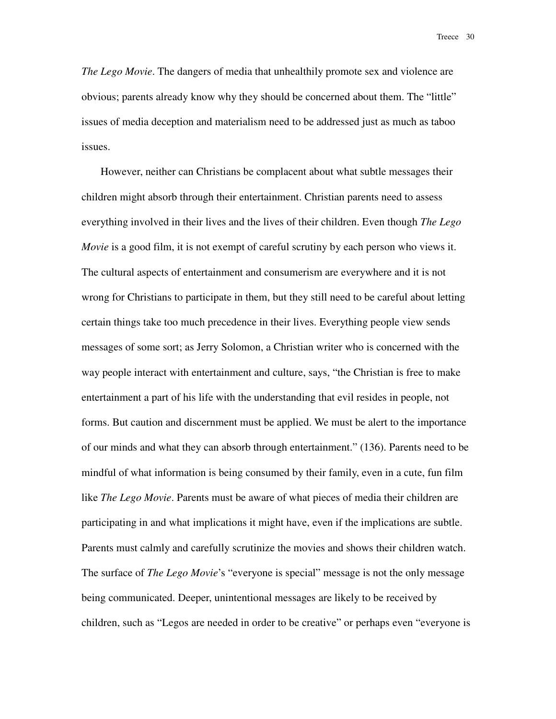*The Lego Movie*. The dangers of media that unhealthily promote sex and violence are obvious; parents already know why they should be concerned about them. The "little" issues of media deception and materialism need to be addressed just as much as taboo issues.

However, neither can Christians be complacent about what subtle messages their children might absorb through their entertainment. Christian parents need to assess everything involved in their lives and the lives of their children. Even though *The Lego Movie* is a good film, it is not exempt of careful scrutiny by each person who views it. The cultural aspects of entertainment and consumerism are everywhere and it is not wrong for Christians to participate in them, but they still need to be careful about letting certain things take too much precedence in their lives. Everything people view sends messages of some sort; as Jerry Solomon, a Christian writer who is concerned with the way people interact with entertainment and culture, says, "the Christian is free to make entertainment a part of his life with the understanding that evil resides in people, not forms. But caution and discernment must be applied. We must be alert to the importance of our minds and what they can absorb through entertainment." (136). Parents need to be mindful of what information is being consumed by their family, even in a cute, fun film like *The Lego Movie*. Parents must be aware of what pieces of media their children are participating in and what implications it might have, even if the implications are subtle. Parents must calmly and carefully scrutinize the movies and shows their children watch. The surface of *The Lego Movie*'s "everyone is special" message is not the only message being communicated. Deeper, unintentional messages are likely to be received by children, such as "Legos are needed in order to be creative" or perhaps even "everyone is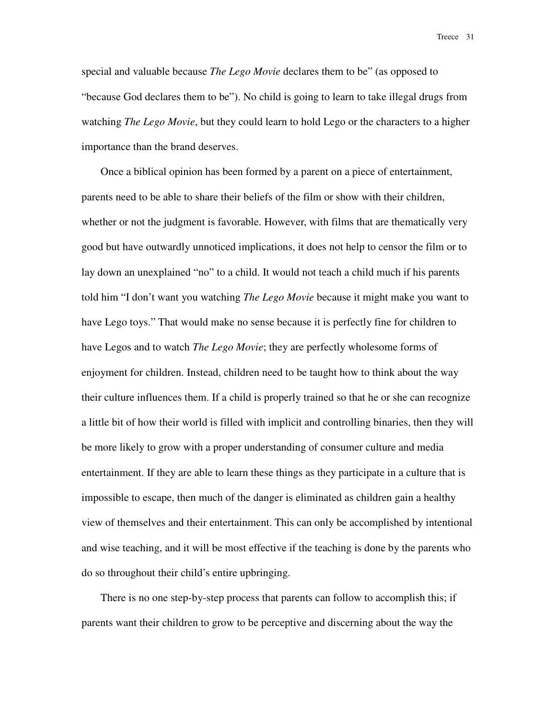special and valuable because *The Lego Movie* declares them to be" (as opposed to "because God declares them to be"). No child is going to learn to take illegal drugs from watching *The Lego Movie*, but they could learn to hold Lego or the characters to a higher importance than the brand deserves.

Once a biblical opinion has been formed by a parent on a piece of entertainment, parents need to be able to share their beliefs of the film or show with their children, whether or not the judgment is favorable. However, with films that are thematically very good but have outwardly unnoticed implications, it does not help to censor the film or to lay down an unexplained "no" to a child. It would not teach a child much if his parents told him "I don't want you watching *The Lego Movie* because it might make you want to have Lego toys." That would make no sense because it is perfectly fine for children to have Legos and to watch *The Lego Movie*; they are perfectly wholesome forms of enjoyment for children. Instead, children need to be taught how to think about the way their culture influences them. If a child is properly trained so that he or she can recognize a little bit of how their world is filled with implicit and controlling binaries, then they will be more likely to grow with a proper understanding of consumer culture and media entertainment. If they are able to learn these things as they participate in a culture that is impossible to escape, then much of the danger is eliminated as children gain a healthy view of themselves and their entertainment. This can only be accomplished by intentional and wise teaching, and it will be most effective if the teaching is done by the parents who do so throughout their child's entire upbringing.

There is no one step-by-step process that parents can follow to accomplish this; if parents want their children to grow to be perceptive and discerning about the way the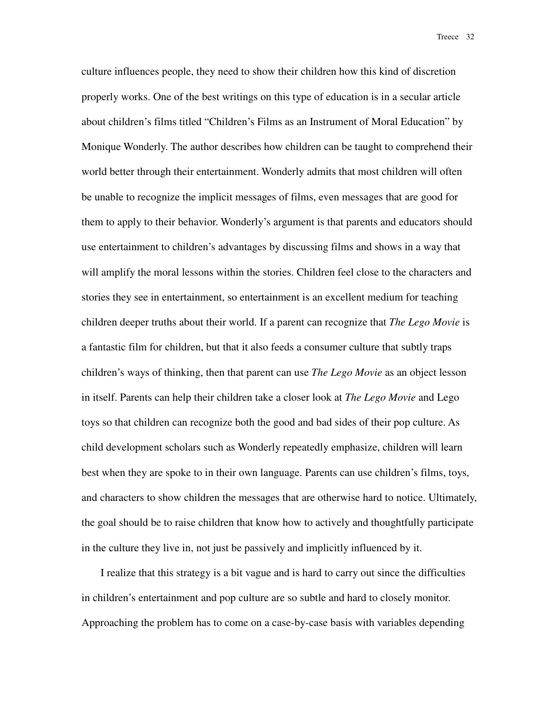culture influences people, they need to show their children how this kind of discretion properly works. One of the best writings on this type of education is in a secular article about children's films titled "Children's Films as an Instrument of Moral Education" by Monique Wonderly. The author describes how children can be taught to comprehend their world better through their entertainment. Wonderly admits that most children will often be unable to recognize the implicit messages of films, even messages that are good for them to apply to their behavior. Wonderly's argument is that parents and educators should use entertainment to children's advantages by discussing films and shows in a way that will amplify the moral lessons within the stories. Children feel close to the characters and stories they see in entertainment, so entertainment is an excellent medium for teaching children deeper truths about their world. If a parent can recognize that *The Lego Movie* is a fantastic film for children, but that it also feeds a consumer culture that subtly traps children's ways of thinking, then that parent can use *The Lego Movie* as an object lesson in itself. Parents can help their children take a closer look at *The Lego Movie* and Lego toys so that children can recognize both the good and bad sides of their pop culture. As child development scholars such as Wonderly repeatedly emphasize, children will learn best when they are spoke to in their own language. Parents can use children's films, toys, and characters to show children the messages that are otherwise hard to notice. Ultimately, the goal should be to raise children that know how to actively and thoughtfully participate in the culture they live in, not just be passively and implicitly influenced by it.

I realize that this strategy is a bit vague and is hard to carry out since the difficulties in children's entertainment and pop culture are so subtle and hard to closely monitor. Approaching the problem has to come on a case-by-case basis with variables depending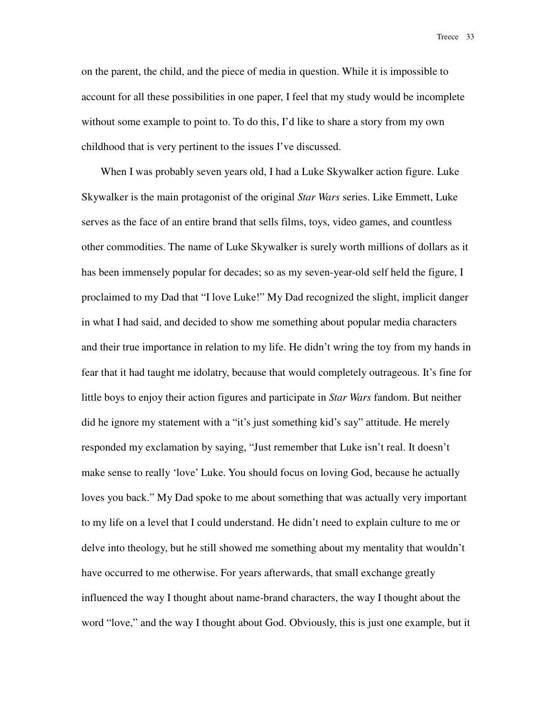on the parent, the child, and the piece of media in question. While it is impossible to account for all these possibilities in one paper, I feel that my study would be incomplete without some example to point to. To do this, I'd like to share a story from my own childhood that is very pertinent to the issues I've discussed.

When I was probably seven years old, I had a Luke Skywalker action figure. Luke Skywalker is the main protagonist of the original *Star Wars* series. Like Emmett, Luke serves as the face of an entire brand that sells films, toys, video games, and countless other commodities. The name of Luke Skywalker is surely worth millions of dollars as it has been immensely popular for decades; so as my seven-year-old self held the figure, I proclaimed to my Dad that "I love Luke!" My Dad recognized the slight, implicit danger in what I had said, and decided to show me something about popular media characters and their true importance in relation to my life. He didn't wring the toy from my hands in fear that it had taught me idolatry, because that would completely outrageous. It's fine for little boys to enjoy their action figures and participate in *Star Wars* fandom. But neither did he ignore my statement with a "it's just something kid's say" attitude. He merely responded my exclamation by saying, "Just remember that Luke isn't real. It doesn't make sense to really 'love' Luke. You should focus on loving God, because he actually loves you back." My Dad spoke to me about something that was actually very important to my life on a level that I could understand. He didn't need to explain culture to me or delve into theology, but he still showed me something about my mentality that wouldn't have occurred to me otherwise. For years afterwards, that small exchange greatly influenced the way I thought about name-brand characters, the way I thought about the word "love," and the way I thought about God. Obviously, this is just one example, but it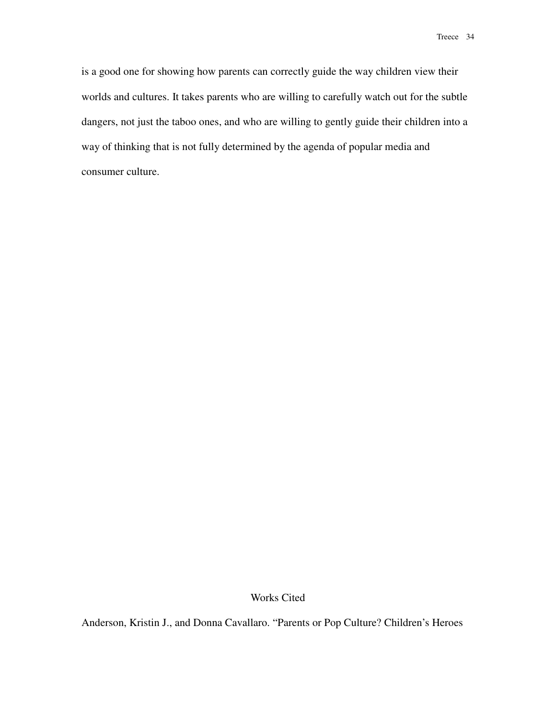is a good one for showing how parents can correctly guide the way children view their worlds and cultures. It takes parents who are willing to carefully watch out for the subtle dangers, not just the taboo ones, and who are willing to gently guide their children into a way of thinking that is not fully determined by the agenda of popular media and consumer culture.

Works Cited

Anderson, Kristin J., and Donna Cavallaro. "Parents or Pop Culture? Children's Heroes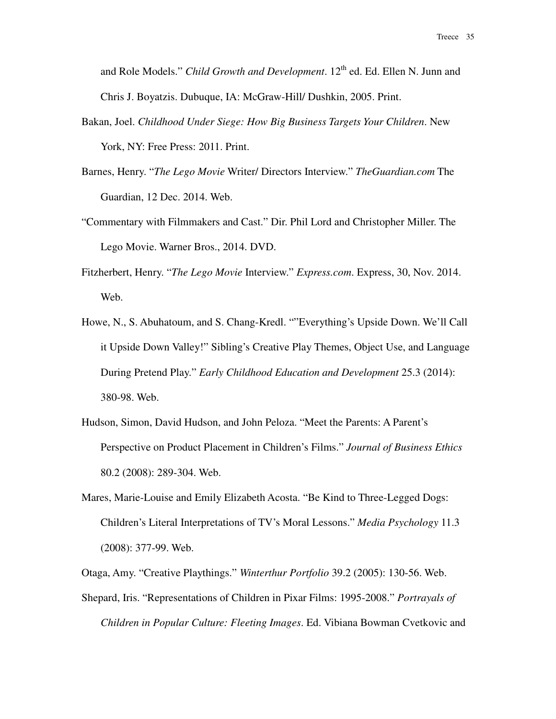and Role Models." *Child Growth and Development*. 12<sup>th</sup> ed. Ed. Ellen N. Junn and Chris J. Boyatzis. Dubuque, IA: McGraw-Hill/ Dushkin, 2005. Print.

- Bakan, Joel. *Childhood Under Siege: How Big Business Targets Your Children*. New York, NY: Free Press: 2011. Print.
- Barnes, Henry. "*The Lego Movie* Writer/ Directors Interview." *TheGuardian.com* The Guardian, 12 Dec. 2014. Web.
- "Commentary with Filmmakers and Cast." Dir. Phil Lord and Christopher Miller. The Lego Movie. Warner Bros., 2014. DVD.
- Fitzherbert, Henry. "*The Lego Movie* Interview." *Express.com*. Express, 30, Nov. 2014. Web.
- Howe, N., S. Abuhatoum, and S. Chang-Kredl. ""Everything's Upside Down. We'll Call it Upside Down Valley!" Sibling's Creative Play Themes, Object Use, and Language During Pretend Play." *Early Childhood Education and Development* 25.3 (2014): 380-98. Web.
- Hudson, Simon, David Hudson, and John Peloza. "Meet the Parents: A Parent's Perspective on Product Placement in Children's Films." *Journal of Business Ethics* 80.2 (2008): 289-304. Web.
- Mares, Marie-Louise and Emily Elizabeth Acosta. "Be Kind to Three-Legged Dogs: Children's Literal Interpretations of TV's Moral Lessons." *Media Psychology* 11.3 (2008): 377-99. Web.

Otaga, Amy. "Creative Playthings." *Winterthur Portfolio* 39.2 (2005): 130-56. Web.

Shepard, Iris. "Representations of Children in Pixar Films: 1995-2008." *Portrayals of Children in Popular Culture: Fleeting Images*. Ed. Vibiana Bowman Cvetkovic and